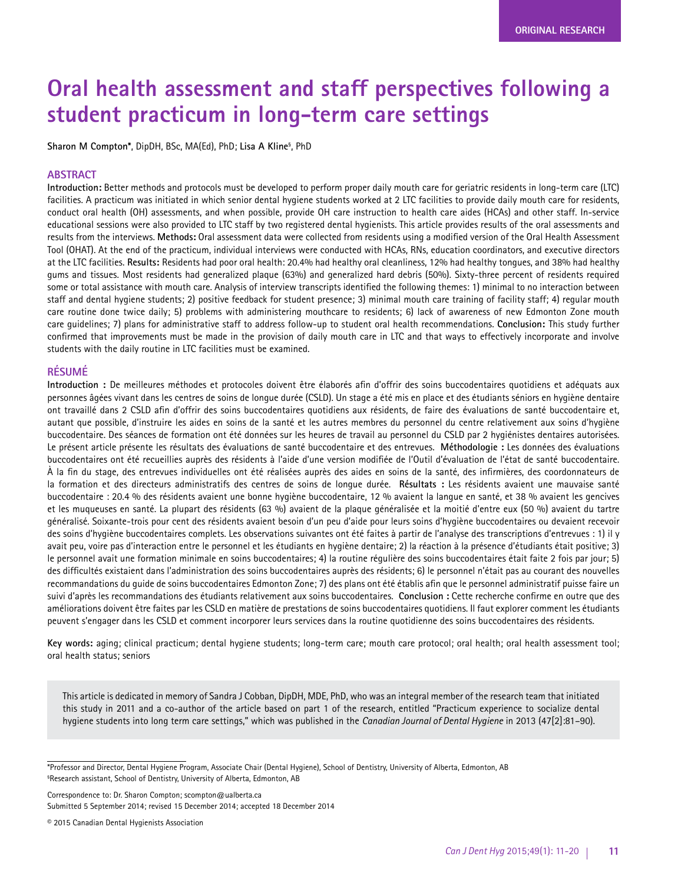# **Oral health assessment and staff perspectives following a student practicum in long-term care settings**

**Sharon M Compton\***, DipDH, BSc, MA(Ed), PhD; **Lisa A Kline**§ , PhD

#### **ABSTRACT**

**Introduction:** Better methods and protocols must be developed to perform proper daily mouth care for geriatric residents in long-term care (LTC) facilities. A practicum was initiated in which senior dental hygiene students worked at 2 LTC facilities to provide daily mouth care for residents, conduct oral health (OH) assessments, and when possible, provide OH care instruction to health care aides (HCAs) and other staff. In-service educational sessions were also provided to LTC staff by two registered dental hygienists. This article provides results of the oral assessments and results from the interviews. **Methods:** Oral assessment data were collected from residents using a modified version of the Oral Health Assessment Tool (OHAT). At the end of the practicum, individual interviews were conducted with HCAs, RNs, education coordinators, and executive directors at the LTC facilities. **Results:** Residents had poor oral health: 20.4% had healthy oral cleanliness, 12% had healthy tongues, and 38% had healthy gums and tissues. Most residents had generalized plaque (63%) and generalized hard debris (50%). Sixty-three percent of residents required some or total assistance with mouth care. Analysis of interview transcripts identified the following themes: 1) minimal to no interaction between staff and dental hygiene students; 2) positive feedback for student presence; 3) minimal mouth care training of facility staff; 4) regular mouth care routine done twice daily; 5) problems with administering mouthcare to residents; 6) lack of awareness of new Edmonton Zone mouth care guidelines; 7) plans for administrative staff to address follow-up to student oral health recommendations. **Conclusion:** This study further confirmed that improvements must be made in the provision of daily mouth care in LTC and that ways to effectively incorporate and involve students with the daily routine in LTC facilities must be examined.

#### **RÉSUMÉ**

**Introduction :** De meilleures méthodes et protocoles doivent être élaborés afin d'offrir des soins buccodentaires quotidiens et adéquats aux personnes âgées vivant dans les centres de soins de longue durée (CSLD). Un stage a été mis en place et des étudiants séniors en hygiène dentaire ont travaillé dans 2 CSLD afin d'offrir des soins buccodentaires quotidiens aux résidents, de faire des évaluations de santé buccodentaire et, autant que possible, d'instruire les aides en soins de la santé et les autres membres du personnel du centre relativement aux soins d'hygiène buccodentaire. Des séances de formation ont été données sur les heures de travail au personnel du CSLD par 2 hygiénistes dentaires autorisées. Le présent article présente les résultats des évaluations de santé buccodentaire et des entrevues. **Méthodologie :** Les données des évaluations buccodentaires ont été recueillies auprès des résidents à l'aide d'une version modifiée de l'Outil d'évaluation de l'état de santé buccodentaire. À la fin du stage, des entrevues individuelles ont été réalisées auprès des aides en soins de la santé, des infirmières, des coordonnateurs de la formation et des directeurs administratifs des centres de soins de longue durée. **Résultats :** Les résidents avaient une mauvaise santé buccodentaire : 20.4 % des résidents avaient une bonne hygiène buccodentaire, 12 % avaient la langue en santé, et 38 % avaient les gencives et les muqueuses en santé. La plupart des résidents (63 %) avaient de la plaque généralisée et la moitié d'entre eux (50 %) avaient du tartre généralisé. Soixante-trois pour cent des résidents avaient besoin d'un peu d'aide pour leurs soins d'hygiène buccodentaires ou devaient recevoir des soins d'hygiène buccodentaires complets. Les observations suivantes ont été faites à partir de l'analyse des transcriptions d'entrevues : 1) il y avait peu, voire pas d'interaction entre le personnel et les étudiants en hygiène dentaire; 2) la réaction à la présence d'étudiants était positive; 3) le personnel avait une formation minimale en soins buccodentaires; 4) la routine régulière des soins buccodentaires était faite 2 fois par jour; 5) des difficultés existaient dans l'administration des soins buccodentaires auprès des résidents; 6) le personnel n'était pas au courant des nouvelles recommandations du guide de soins buccodentaires Edmonton Zone; 7) des plans ont été établis afin que le personnel administratif puisse faire un suivi d'après les recommandations des étudiants relativement aux soins buccodentaires. **Conclusion :** Cette recherche confirme en outre que des améliorations doivent être faites par les CSLD en matière de prestations de soins buccodentaires quotidiens. Il faut explorer comment les étudiants peuvent s'engager dans les CSLD et comment incorporer leurs services dans la routine quotidienne des soins buccodentaires des résidents.

**Key words:** aging; clinical practicum; dental hygiene students; long-term care; mouth care protocol; oral health; oral health assessment tool; oral health status; seniors

This article is dedicated in memory of Sandra J Cobban, DipDH, MDE, PhD, who was an integral member of the research team that initiated this study in 2011 and a co-author of the article based on part 1 of the research, entitled "Practicum experience to socialize dental hygiene students into long term care settings," which was published in the *Canadian Journal of Dental Hygiene* in 2013 (47[2]:81–90).

Correspondence to: Dr. Sharon Compton; scompton@ualberta.ca Submitted 5 September 2014; revised 15 December 2014; accepted 18 December 2014

<sup>\*</sup>Professor and Director, Dental Hygiene Program, Associate Chair (Dental Hygiene), School of Dentistry, University of Alberta, Edmonton, AB § Research assistant, School of Dentistry, University of Alberta, Edmonton, AB

<sup>© 2015</sup> Canadian Dental Hygienists Association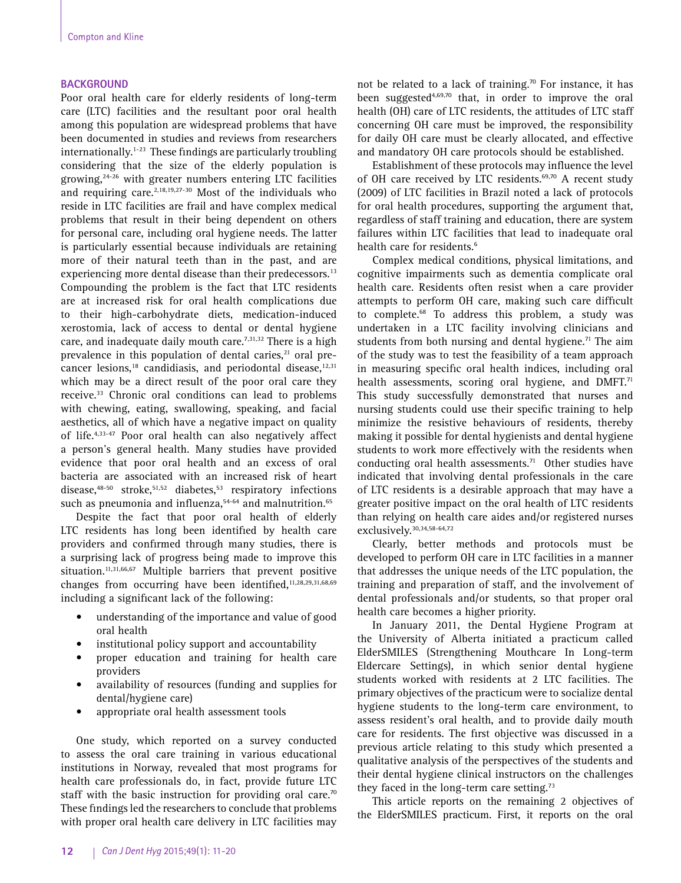#### **BACKGROUND**

Poor oral health care for elderly residents of long-term care (LTC) facilities and the resultant poor oral health among this population are widespread problems that have been documented in studies and reviews from researchers internationally.1-23 These findings are particularly troubling considering that the size of the elderly population is growing, $24-26$  with greater numbers entering LTC facilities and requiring care.<sup>2,18,19,27-30</sup> Most of the individuals who reside in LTC facilities are frail and have complex medical problems that result in their being dependent on others for personal care, including oral hygiene needs. The latter is particularly essential because individuals are retaining more of their natural teeth than in the past, and are experiencing more dental disease than their predecessors.<sup>13</sup> Compounding the problem is the fact that LTC residents are at increased risk for oral health complications due to their high-carbohydrate diets, medication-induced xerostomia, lack of access to dental or dental hygiene care, and inadequate daily mouth care.<sup> $7,31,32$ </sup> There is a high prevalence in this population of dental caries, $21$  oral precancer lesions, $18$  candidiasis, and periodontal disease, $12,31$ which may be a direct result of the poor oral care they receive.<sup>33</sup> Chronic oral conditions can lead to problems with chewing, eating, swallowing, speaking, and facial aesthetics, all of which have a negative impact on quality of life.4,33-47 Poor oral health can also negatively affect a person's general health. Many studies have provided evidence that poor oral health and an excess of oral bacteria are associated with an increased risk of heart disease, $48-50$  stroke, $51,52$  diabetes, $53$  respiratory infections such as pneumonia and influenza,<sup>54-64</sup> and malnutrition.<sup>65</sup>

Despite the fact that poor oral health of elderly LTC residents has long been identified by health care providers and confirmed through many studies, there is a surprising lack of progress being made to improve this situation.<sup>11,31,66,67</sup> Multiple barriers that prevent positive changes from occurring have been identified,<sup>11,28,29,31,68,69</sup> including a significant lack of the following:

- understanding of the importance and value of good oral health
- institutional policy support and accountability
- proper education and training for health care providers
- availability of resources (funding and supplies for dental/hygiene care)
- appropriate oral health assessment tools

One study, which reported on a survey conducted to assess the oral care training in various educational institutions in Norway, revealed that most programs for health care professionals do, in fact, provide future LTC staff with the basic instruction for providing oral care.<sup>70</sup> These findings led the researchers to conclude that problems with proper oral health care delivery in LTC facilities may not be related to a lack of training.<sup>70</sup> For instance, it has been suggested $4,69,70$  that, in order to improve the oral health (OH) care of LTC residents, the attitudes of LTC staff concerning OH care must be improved, the responsibility for daily OH care must be clearly allocated, and effective and mandatory OH care protocols should be established.

Establishment of these protocols may influence the level of OH care received by LTC residents.<sup>69,70</sup> A recent study (2009) of LTC facilities in Brazil noted a lack of protocols for oral health procedures, supporting the argument that, regardless of staff training and education, there are system failures within LTC facilities that lead to inadequate oral health care for residents.<sup>6</sup>

Complex medical conditions, physical limitations, and cognitive impairments such as dementia complicate oral health care. Residents often resist when a care provider attempts to perform OH care, making such care difficult to complete.68 To address this problem, a study was undertaken in a LTC facility involving clinicians and students from both nursing and dental hygiene.<sup>71</sup> The aim of the study was to test the feasibility of a team approach in measuring specific oral health indices, including oral health assessments, scoring oral hygiene, and DMFT.<sup>71</sup> This study successfully demonstrated that nurses and nursing students could use their specific training to help minimize the resistive behaviours of residents, thereby making it possible for dental hygienists and dental hygiene students to work more effectively with the residents when conducting oral health assessments.<sup>71</sup> Other studies have indicated that involving dental professionals in the care of LTC residents is a desirable approach that may have a greater positive impact on the oral health of LTC residents than relying on health care aides and/or registered nurses exclusively.<sup>30,34,58-64,72</sup>

Clearly, better methods and protocols must be developed to perform OH care in LTC facilities in a manner that addresses the unique needs of the LTC population, the training and preparation of staff, and the involvement of dental professionals and/or students, so that proper oral health care becomes a higher priority.

In January 2011, the Dental Hygiene Program at the University of Alberta initiated a practicum called ElderSMILES (Strengthening Mouthcare In Long-term Eldercare Settings), in which senior dental hygiene students worked with residents at 2 LTC facilities. The primary objectives of the practicum were to socialize dental hygiene students to the long-term care environment, to assess resident's oral health, and to provide daily mouth care for residents. The first objective was discussed in a previous article relating to this study which presented a qualitative analysis of the perspectives of the students and their dental hygiene clinical instructors on the challenges they faced in the long-term care setting.<sup>73</sup>

This article reports on the remaining 2 objectives of the ElderSMILES practicum. First, it reports on the oral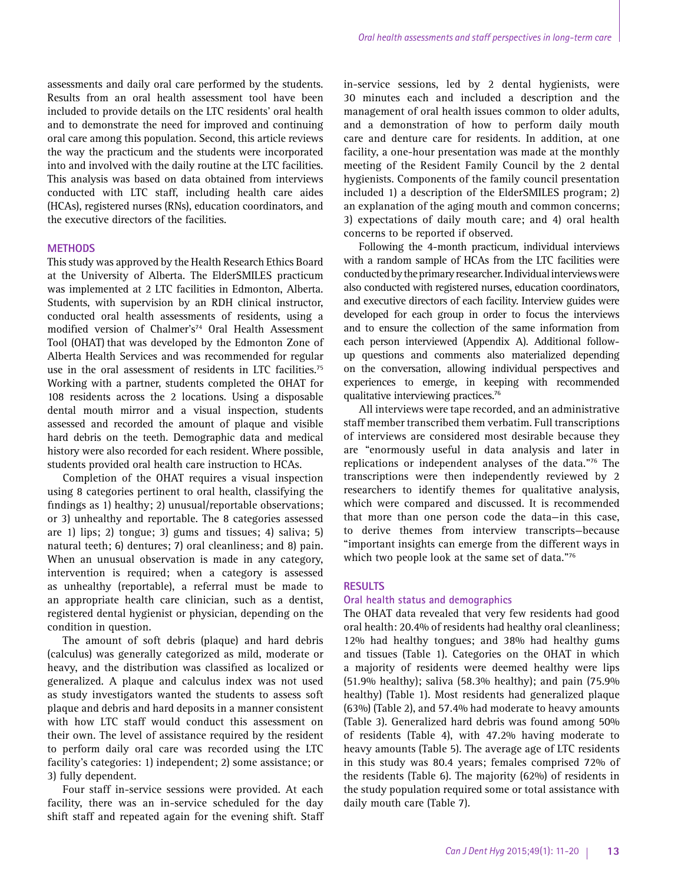assessments and daily oral care performed by the students. Results from an oral health assessment tool have been included to provide details on the LTC residents' oral health and to demonstrate the need for improved and continuing oral care among this population. Second, this article reviews the way the practicum and the students were incorporated into and involved with the daily routine at the LTC facilities. This analysis was based on data obtained from interviews conducted with LTC staff, including health care aides (HCAs), registered nurses (RNs), education coordinators, and the executive directors of the facilities.

#### **METHODS**

This study was approved by the Health Research Ethics Board at the University of Alberta. The ElderSMILES practicum was implemented at 2 LTC facilities in Edmonton, Alberta. Students, with supervision by an RDH clinical instructor, conducted oral health assessments of residents, using a modified version of Chalmer's<sup>74</sup> Oral Health Assessment Tool (OHAT) that was developed by the Edmonton Zone of Alberta Health Services and was recommended for regular use in the oral assessment of residents in LTC facilities.<sup>75</sup> Working with a partner, students completed the OHAT for 108 residents across the 2 locations. Using a disposable dental mouth mirror and a visual inspection, students assessed and recorded the amount of plaque and visible hard debris on the teeth. Demographic data and medical history were also recorded for each resident. Where possible, students provided oral health care instruction to HCAs.

Completion of the OHAT requires a visual inspection using 8 categories pertinent to oral health, classifying the findings as 1) healthy; 2) unusual/reportable observations; or 3) unhealthy and reportable. The 8 categories assessed are 1) lips; 2) tongue; 3) gums and tissues; 4) saliva; 5) natural teeth; 6) dentures; 7) oral cleanliness; and 8) pain. When an unusual observation is made in any category, intervention is required; when a category is assessed as unhealthy (reportable), a referral must be made to an appropriate health care clinician, such as a dentist, registered dental hygienist or physician, depending on the condition in question.

The amount of soft debris (plaque) and hard debris (calculus) was generally categorized as mild, moderate or heavy, and the distribution was classified as localized or generalized. A plaque and calculus index was not used as study investigators wanted the students to assess soft plaque and debris and hard deposits in a manner consistent with how LTC staff would conduct this assessment on their own. The level of assistance required by the resident to perform daily oral care was recorded using the LTC facility's categories: 1) independent; 2) some assistance; or 3) fully dependent.

Four staff in-service sessions were provided. At each facility, there was an in-service scheduled for the day shift staff and repeated again for the evening shift. Staff in-service sessions, led by 2 dental hygienists, were 30 minutes each and included a description and the management of oral health issues common to older adults, and a demonstration of how to perform daily mouth care and denture care for residents. In addition, at one facility, a one-hour presentation was made at the monthly meeting of the Resident Family Council by the 2 dental hygienists. Components of the family council presentation included 1) a description of the ElderSMILES program; 2) an explanation of the aging mouth and common concerns; 3) expectations of daily mouth care; and 4) oral health concerns to be reported if observed.

Following the 4-month practicum, individual interviews with a random sample of HCAs from the LTC facilities were conducted by the primary researcher. Individual interviews were also conducted with registered nurses, education coordinators, and executive directors of each facility. Interview guides were developed for each group in order to focus the interviews and to ensure the collection of the same information from each person interviewed (Appendix A). Additional followup questions and comments also materialized depending on the conversation, allowing individual perspectives and experiences to emerge, in keeping with recommended qualitative interviewing practices.<sup>76</sup>

All interviews were tape recorded, and an administrative staff member transcribed them verbatim. Full transcriptions of interviews are considered most desirable because they are "enormously useful in data analysis and later in replications or independent analyses of the data."76 The transcriptions were then independently reviewed by 2 researchers to identify themes for qualitative analysis, which were compared and discussed. It is recommended that more than one person code the data—in this case, to derive themes from interview transcripts—because "important insights can emerge from the different ways in which two people look at the same set of data."76

#### **RESULTS**

#### **Oral health status and demographics**

The OHAT data revealed that very few residents had good oral health: 20.4% of residents had healthy oral cleanliness; 12% had healthy tongues; and 38% had healthy gums and tissues (Table 1). Categories on the OHAT in which a majority of residents were deemed healthy were lips (51.9% healthy); saliva (58.3% healthy); and pain (75.9% healthy) (Table 1). Most residents had generalized plaque (63%) (Table 2), and 57.4% had moderate to heavy amounts (Table 3). Generalized hard debris was found among 50% of residents (Table 4), with 47.2% having moderate to heavy amounts (Table 5). The average age of LTC residents in this study was 80.4 years; females comprised 72% of the residents (Table 6). The majority (62%) of residents in the study population required some or total assistance with daily mouth care (Table 7).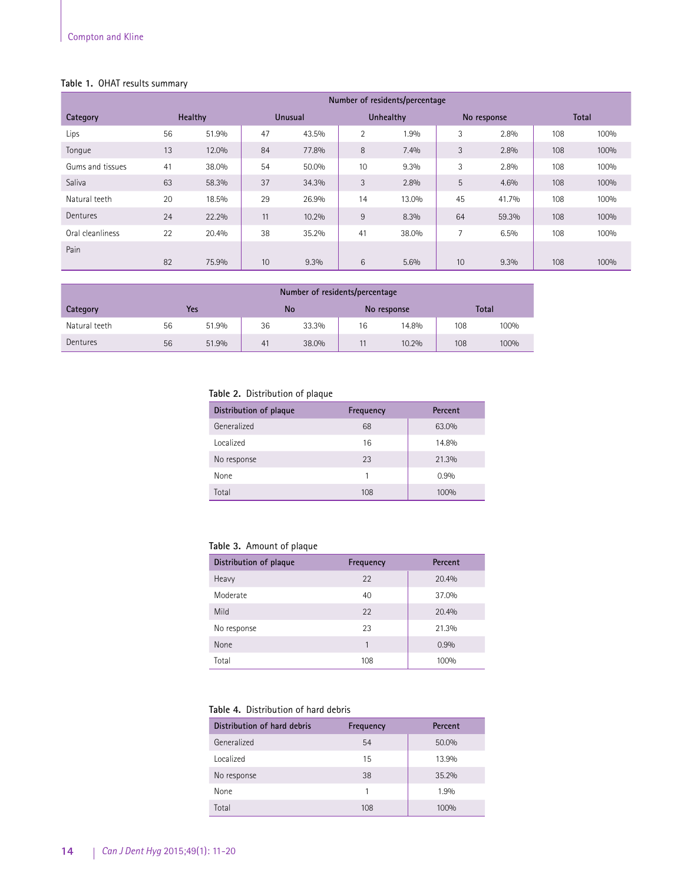# **Table 1.** OHAT results summary

|                  | Number of residents/percentage |         |    |                |    |           |    |             |     |              |
|------------------|--------------------------------|---------|----|----------------|----|-----------|----|-------------|-----|--------------|
| Category         |                                | Healthy |    | <b>Unusual</b> |    | Unhealthy |    | No response |     | <b>Total</b> |
| Lips             | 56                             | 51.9%   | 47 | 43.5%          | 2  | 1.9%      | 3  | 2.8%        | 108 | 100%         |
| Tonque           | 13                             | 12.0%   | 84 | 77.8%          | 8  | 7.4%      | 3  | 2.8%        | 108 | 100%         |
| Gums and tissues | 41                             | 38.0%   | 54 | 50.0%          | 10 | 9.3%      | 3  | 2.8%        | 108 | 100%         |
| Saliva           | 63                             | 58.3%   | 37 | 34.3%          | 3  | 2.8%      | 5  | 4.6%        | 108 | 100%         |
| Natural teeth    | 20                             | 18.5%   | 29 | 26.9%          | 14 | 13.0%     | 45 | 41.7%       | 108 | 100%         |
| Dentures         | 24                             | 22.2%   | 11 | 10.2%          | 9  | 8.3%      | 64 | 59.3%       | 108 | 100%         |
| Oral cleanliness | 22                             | 20.4%   | 38 | 35.2%          | 41 | 38.0%     | 7  | 6.5%        | 108 | 100%         |
| Pain             |                                |         |    |                |    |           |    |             |     |              |
|                  | 82                             | 75.9%   | 10 | 9.3%           | 6  | 5.6%      | 10 | 9.3%        | 108 | 100%         |

|               | Number of residents/percentage |       |    |           |    |             |     |       |
|---------------|--------------------------------|-------|----|-----------|----|-------------|-----|-------|
| Category      |                                | Yes   |    | <b>No</b> |    | No response |     | Total |
| Natural teeth | 56                             | 51.9% | 36 | 33.3%     | 16 | 14.8%       | 108 | 100%  |
| Dentures      | 56                             | 51.9% | 41 | 38.0%     |    | 10.2%       | 108 | 100%  |

# **Table 2.** Distribution of plaque

| Distribution of plaque | Frequency | Percent |
|------------------------|-----------|---------|
| Generalized            | 68        | 63.0%   |
| Localized              | 16        | 14.8%   |
| No response            | 23        | 21.3%   |
| None                   |           | 0.9%    |
| Total                  | 108       | 100%    |

## **Table 3.** Amount of plaque

| Distribution of plaque | Frequency | Percent |
|------------------------|-----------|---------|
| Heavy                  | 22        | 20.4%   |
| Moderate               | 40        | 37.0%   |
| Mild                   | 22        | 20.4%   |
| No response            | 23        | 21.3%   |
| None                   | 1         | 0.9%    |
| Total                  | 108       | 100%    |

# **Table 4.** Distribution of hard debris

| Distribution of hard debris | Frequency | Percent |
|-----------------------------|-----------|---------|
| Generalized                 | 54        | 50.0%   |
| Localized                   | 15        | 13.9%   |
| No response                 | 38        | 35.2%   |
| None                        |           | 1.9%    |
| Total                       | 108       | 100%    |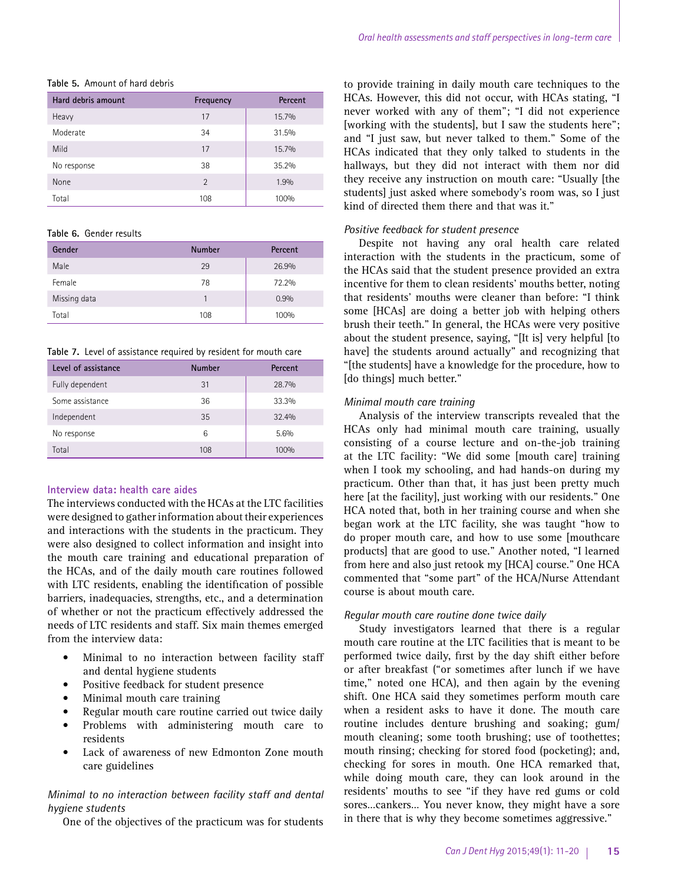| Hard debris amount | Frequency      | Percent |
|--------------------|----------------|---------|
| Heavy              | 17             | 15.7%   |
| Moderate           | 34             | 31.5%   |
| Mild               | 17             | 15.7%   |
| No response        | 38             | 35.2%   |
| None               | $\overline{2}$ | 1.9%    |
| Total              | 108            | 100%    |

#### **Table 5.** Amount of hard debris

#### **Table 6.** Gender results

| Gender       | <b>Number</b> | Percent |
|--------------|---------------|---------|
| Male         | 29            | 26.9%   |
| Female       | 78            | 72.2%   |
| Missing data |               | 0.9%    |
| Total        | 108           | 100%    |

**Table 7.** Level of assistance required by resident for mouth care

| Level of assistance | <b>Number</b> | Percent |
|---------------------|---------------|---------|
| Fully dependent     | 31            | 28.7%   |
| Some assistance     | 36            | 33.3%   |
| Independent         | 35            | 32.4%   |
| No response         | 6             | 5.6%    |
| Total               | 108           | 100%    |

#### **Interview data: health care aides**

The interviews conducted with the HCAs at the LTC facilities were designed to gather information about their experiences and interactions with the students in the practicum. They were also designed to collect information and insight into the mouth care training and educational preparation of the HCAs, and of the daily mouth care routines followed with LTC residents, enabling the identification of possible barriers, inadequacies, strengths, etc., and a determination of whether or not the practicum effectively addressed the needs of LTC residents and staff. Six main themes emerged from the interview data:

- Minimal to no interaction between facility staff and dental hygiene students
- Positive feedback for student presence
- Minimal mouth care training
- Regular mouth care routine carried out twice daily
- Problems with administering mouth care to residents
- Lack of awareness of new Edmonton Zone mouth care guidelines

# *Minimal to no interaction between facility staff and dental hygiene students*

One of the objectives of the practicum was for students

to provide training in daily mouth care techniques to the HCAs. However, this did not occur, with HCAs stating, "I never worked with any of them"; "I did not experience [working with the students], but I saw the students here"; and "I just saw, but never talked to them." Some of the HCAs indicated that they only talked to students in the hallways, but they did not interact with them nor did they receive any instruction on mouth care: "Usually [the students] just asked where somebody's room was, so I just kind of directed them there and that was it."

#### *Positive feedback for student presence*

Despite not having any oral health care related interaction with the students in the practicum, some of the HCAs said that the student presence provided an extra incentive for them to clean residents' mouths better, noting that residents' mouths were cleaner than before: "I think some [HCAs] are doing a better job with helping others brush their teeth." In general, the HCAs were very positive about the student presence, saying, "[It is] very helpful [to have] the students around actually" and recognizing that "[the students] have a knowledge for the procedure, how to [do things] much better."

## *Minimal mouth care training*

Analysis of the interview transcripts revealed that the HCAs only had minimal mouth care training, usually consisting of a course lecture and on-the-job training at the LTC facility: "We did some [mouth care] training when I took my schooling, and had hands-on during my practicum. Other than that, it has just been pretty much here [at the facility], just working with our residents." One HCA noted that, both in her training course and when she began work at the LTC facility, she was taught "how to do proper mouth care, and how to use some [mouthcare products] that are good to use." Another noted, "I learned from here and also just retook my [HCA] course." One HCA commented that "some part" of the HCA/Nurse Attendant course is about mouth care.

#### *Regular mouth care routine done twice daily*

Study investigators learned that there is a regular mouth care routine at the LTC facilities that is meant to be performed twice daily, first by the day shift either before or after breakfast ("or sometimes after lunch if we have time," noted one HCA), and then again by the evening shift. One HCA said they sometimes perform mouth care when a resident asks to have it done. The mouth care routine includes denture brushing and soaking; gum/ mouth cleaning; some tooth brushing; use of toothettes; mouth rinsing; checking for stored food (pocketing); and, checking for sores in mouth. One HCA remarked that, while doing mouth care, they can look around in the residents' mouths to see "if they have red gums or cold sores…cankers… You never know, they might have a sore in there that is why they become sometimes aggressive."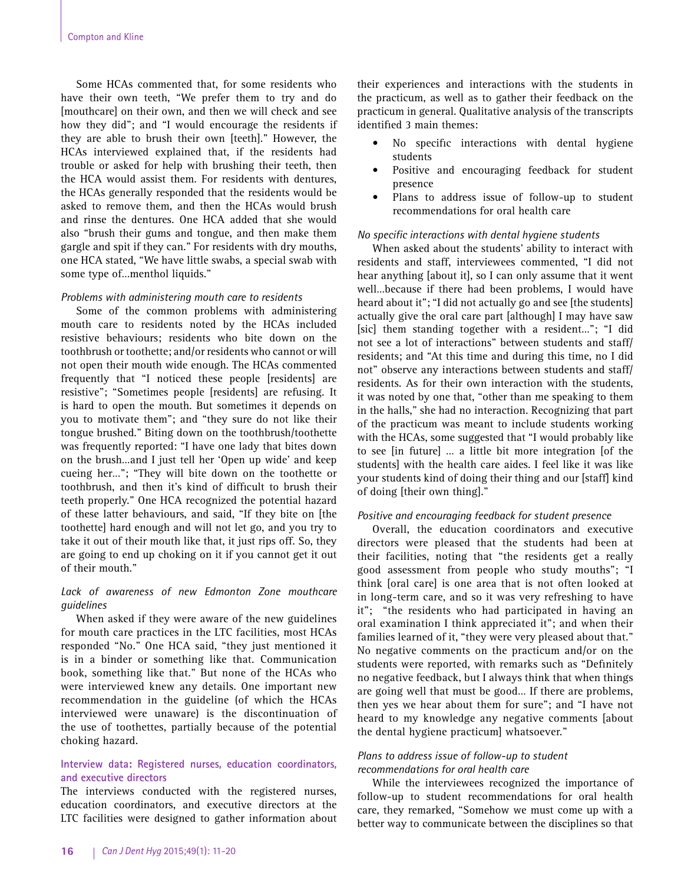Some HCAs commented that, for some residents who have their own teeth, "We prefer them to try and do [mouthcare] on their own, and then we will check and see how they did"; and "I would encourage the residents if they are able to brush their own [teeth]." However, the HCAs interviewed explained that, if the residents had trouble or asked for help with brushing their teeth, then the HCA would assist them. For residents with dentures, the HCAs generally responded that the residents would be asked to remove them, and then the HCAs would brush and rinse the dentures. One HCA added that she would also "brush their gums and tongue, and then make them gargle and spit if they can." For residents with dry mouths, one HCA stated, "We have little swabs, a special swab with some type of…menthol liquids."

## *Problems with administering mouth care to residents*

Some of the common problems with administering mouth care to residents noted by the HCAs included resistive behaviours; residents who bite down on the toothbrush or toothette; and/or residents who cannot or will not open their mouth wide enough. The HCAs commented frequently that "I noticed these people [residents] are resistive"; "Sometimes people [residents] are refusing. It is hard to open the mouth. But sometimes it depends on you to motivate them"; and "they sure do not like their tongue brushed." Biting down on the toothbrush/toothette was frequently reported: "I have one lady that bites down on the brush…and I just tell her 'Open up wide' and keep cueing her…"; "They will bite down on the toothette or toothbrush, and then it's kind of difficult to brush their teeth properly." One HCA recognized the potential hazard of these latter behaviours, and said, "If they bite on [the toothette] hard enough and will not let go, and you try to take it out of their mouth like that, it just rips off. So, they are going to end up choking on it if you cannot get it out of their mouth."

# *Lack of awareness of new Edmonton Zone mouthcare guidelines*

When asked if they were aware of the new guidelines for mouth care practices in the LTC facilities, most HCAs responded "No." One HCA said, "they just mentioned it is in a binder or something like that. Communication book, something like that." But none of the HCAs who were interviewed knew any details. One important new recommendation in the guideline (of which the HCAs interviewed were unaware) is the discontinuation of the use of toothettes, partially because of the potential choking hazard.

## **Interview data: Registered nurses, education coordinators, and executive directors**

The interviews conducted with the registered nurses, education coordinators, and executive directors at the LTC facilities were designed to gather information about

their experiences and interactions with the students in the practicum, as well as to gather their feedback on the practicum in general. Qualitative analysis of the transcripts identified 3 main themes:

- No specific interactions with dental hygiene students
- Positive and encouraging feedback for student presence
- Plans to address issue of follow-up to student recommendations for oral health care

#### *No specific interactions with dental hygiene students*

When asked about the students' ability to interact with residents and staff, interviewees commented, "I did not hear anything [about it], so I can only assume that it went well…because if there had been problems, I would have heard about it"; "I did not actually go and see [the students] actually give the oral care part [although] I may have saw [sic] them standing together with a resident…"; "I did not see a lot of interactions" between students and staff/ residents; and "At this time and during this time, no I did not" observe any interactions between students and staff/ residents. As for their own interaction with the students, it was noted by one that, "other than me speaking to them in the halls," she had no interaction. Recognizing that part of the practicum was meant to include students working with the HCAs, some suggested that "I would probably like to see [in future] … a little bit more integration [of the students] with the health care aides. I feel like it was like your students kind of doing their thing and our [staff] kind of doing [their own thing]."

# *Positive and encouraging feedback for student presence*

Overall, the education coordinators and executive directors were pleased that the students had been at their facilities, noting that "the residents get a really good assessment from people who study mouths"; "I think [oral care] is one area that is not often looked at in long-term care, and so it was very refreshing to have it"; "the residents who had participated in having an oral examination I think appreciated it"; and when their families learned of it, "they were very pleased about that." No negative comments on the practicum and/or on the students were reported, with remarks such as "Definitely no negative feedback, but I always think that when things are going well that must be good… If there are problems, then yes we hear about them for sure"; and "I have not heard to my knowledge any negative comments [about the dental hygiene practicum] whatsoever."

#### *Plans to address issue of follow-up to student recommendations for oral health care*

While the interviewees recognized the importance of follow-up to student recommendations for oral health care, they remarked, "Somehow we must come up with a better way to communicate between the disciplines so that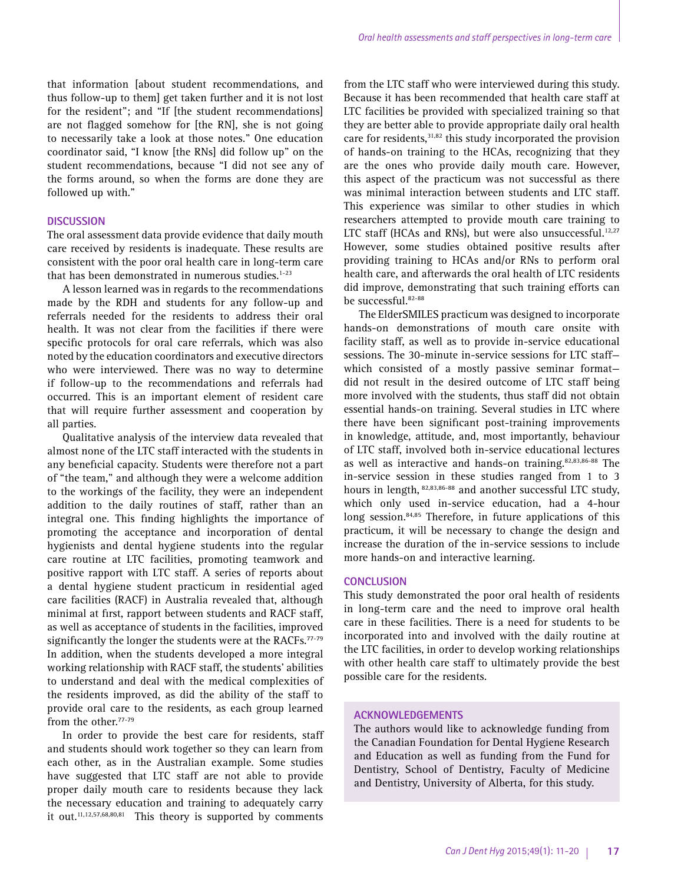that information [about student recommendations, and thus follow-up to them] get taken further and it is not lost for the resident"; and "If [the student recommendations] are not flagged somehow for [the RN], she is not going to necessarily take a look at those notes." One education coordinator said, "I know [the RNs] did follow up" on the student recommendations, because "I did not see any of the forms around, so when the forms are done they are followed up with."

#### **DISCUSSION**

The oral assessment data provide evidence that daily mouth care received by residents is inadequate. These results are consistent with the poor oral health care in long-term care that has been demonstrated in numerous studies. $1-23$ 

A lesson learned was in regards to the recommendations made by the RDH and students for any follow-up and referrals needed for the residents to address their oral health. It was not clear from the facilities if there were specific protocols for oral care referrals, which was also noted by the education coordinators and executive directors who were interviewed. There was no way to determine if follow-up to the recommendations and referrals had occurred. This is an important element of resident care that will require further assessment and cooperation by all parties.

Qualitative analysis of the interview data revealed that almost none of the LTC staff interacted with the students in any beneficial capacity. Students were therefore not a part of "the team," and although they were a welcome addition to the workings of the facility, they were an independent addition to the daily routines of staff, rather than an integral one. This finding highlights the importance of promoting the acceptance and incorporation of dental hygienists and dental hygiene students into the regular care routine at LTC facilities, promoting teamwork and positive rapport with LTC staff. A series of reports about a dental hygiene student practicum in residential aged care facilities (RACF) in Australia revealed that, although minimal at first, rapport between students and RACF staff, as well as acceptance of students in the facilities, improved significantly the longer the students were at the RACFs.<sup>77-79</sup> In addition, when the students developed a more integral working relationship with RACF staff, the students' abilities to understand and deal with the medical complexities of the residents improved, as did the ability of the staff to provide oral care to the residents, as each group learned from the other.<sup>77-79</sup>

In order to provide the best care for residents, staff and students should work together so they can learn from each other, as in the Australian example. Some studies have suggested that LTC staff are not able to provide proper daily mouth care to residents because they lack the necessary education and training to adequately carry it out.<sup>11,12,57,68,80,81</sup> This theory is supported by comments

from the LTC staff who were interviewed during this study. Because it has been recommended that health care staff at LTC facilities be provided with specialized training so that they are better able to provide appropriate daily oral health care for residents,<sup>31,82</sup> this study incorporated the provision of hands-on training to the HCAs, recognizing that they are the ones who provide daily mouth care. However, this aspect of the practicum was not successful as there was minimal interaction between students and LTC staff. This experience was similar to other studies in which researchers attempted to provide mouth care training to LTC staff (HCAs and RNs), but were also unsuccessful.<sup>12,27</sup> However, some studies obtained positive results after providing training to HCAs and/or RNs to perform oral health care, and afterwards the oral health of LTC residents did improve, demonstrating that such training efforts can be successful.<sup>82-88</sup>

The ElderSMILES practicum was designed to incorporate hands-on demonstrations of mouth care onsite with facility staff, as well as to provide in-service educational sessions. The 30-minute in-service sessions for LTC staff which consisted of a mostly passive seminar format did not result in the desired outcome of LTC staff being more involved with the students, thus staff did not obtain essential hands-on training. Several studies in LTC where there have been significant post-training improvements in knowledge, attitude, and, most importantly, behaviour of LTC staff, involved both in-service educational lectures as well as interactive and hands-on training.82,83,86-88 The in-service session in these studies ranged from 1 to 3 hours in length, 82,83,86-88 and another successful LTC study, which only used in-service education, had a 4-hour long session. $84,85$  Therefore, in future applications of this practicum, it will be necessary to change the design and increase the duration of the in-service sessions to include more hands-on and interactive learning.

#### **CONCLUSION**

This study demonstrated the poor oral health of residents in long-term care and the need to improve oral health care in these facilities. There is a need for students to be incorporated into and involved with the daily routine at the LTC facilities, in order to develop working relationships with other health care staff to ultimately provide the best possible care for the residents.

#### **ACKNOWLEDGEMENTS**

The authors would like to acknowledge funding from the Canadian Foundation for Dental Hygiene Research and Education as well as funding from the Fund for Dentistry, School of Dentistry, Faculty of Medicine and Dentistry, University of Alberta, for this study.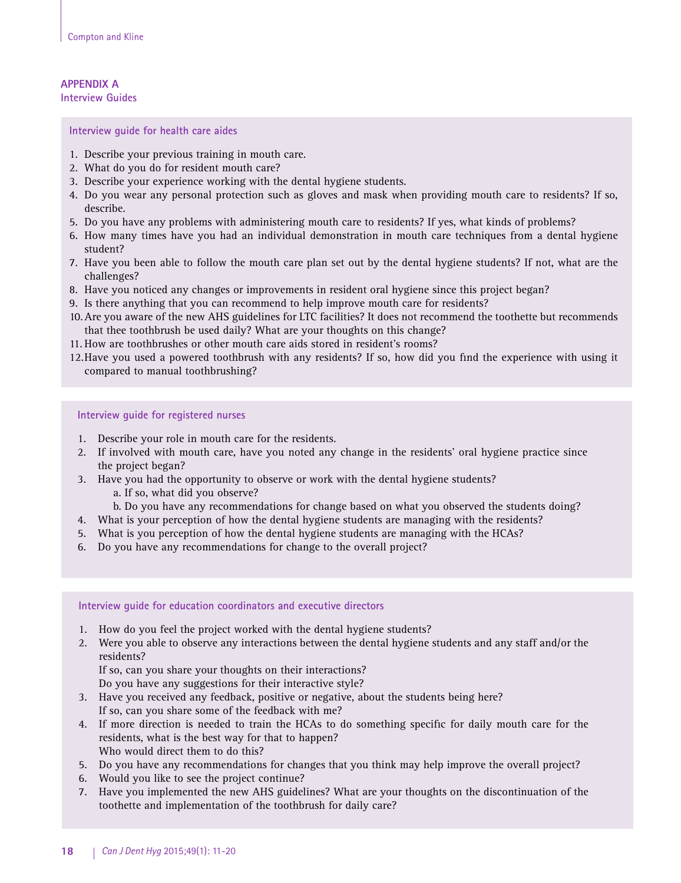## **APPENDIX A Interview Guides**

**Interview guide for health care aides**

- 1. Describe your previous training in mouth care.
- 2. What do you do for resident mouth care?
- 3. Describe your experience working with the dental hygiene students.
- 4. Do you wear any personal protection such as gloves and mask when providing mouth care to residents? If so, describe.
- 5. Do you have any problems with administering mouth care to residents? If yes, what kinds of problems?
- 6. How many times have you had an individual demonstration in mouth care techniques from a dental hygiene student?
- 7. Have you been able to follow the mouth care plan set out by the dental hygiene students? If not, what are the challenges?
- 8. Have you noticed any changes or improvements in resident oral hygiene since this project began?
- 9. Is there anything that you can recommend to help improve mouth care for residents?
- 10.Are you aware of the new AHS guidelines for LTC facilities? It does not recommend the toothette but recommends that thee toothbrush be used daily? What are your thoughts on this change?
- 11. How are toothbrushes or other mouth care aids stored in resident's rooms?
- 12.Have you used a powered toothbrush with any residents? If so, how did you find the experience with using it compared to manual toothbrushing?

**Interview guide for registered nurses**

- 1. Describe your role in mouth care for the residents.
- 2. If involved with mouth care, have you noted any change in the residents' oral hygiene practice since the project began?
- 3. Have you had the opportunity to observe or work with the dental hygiene students?
	- a. If so, what did you observe?
	- b. Do you have any recommendations for change based on what you observed the students doing?
- 4. What is your perception of how the dental hygiene students are managing with the residents?
- 5. What is you perception of how the dental hygiene students are managing with the HCAs?
- 6. Do you have any recommendations for change to the overall project?

#### **Interview guide for education coordinators and executive directors**

- 1. How do you feel the project worked with the dental hygiene students?
- 2. Were you able to observe any interactions between the dental hygiene students and any staff and/or the residents?

If so, can you share your thoughts on their interactions?

Do you have any suggestions for their interactive style?

- 3. Have you received any feedback, positive or negative, about the students being here? If so, can you share some of the feedback with me?
- 4. If more direction is needed to train the HCAs to do something specific for daily mouth care for the residents, what is the best way for that to happen? Who would direct them to do this?
- 5. Do you have any recommendations for changes that you think may help improve the overall project?
- 6. Would you like to see the project continue?
- 7. Have you implemented the new AHS guidelines? What are your thoughts on the discontinuation of the toothette and implementation of the toothbrush for daily care?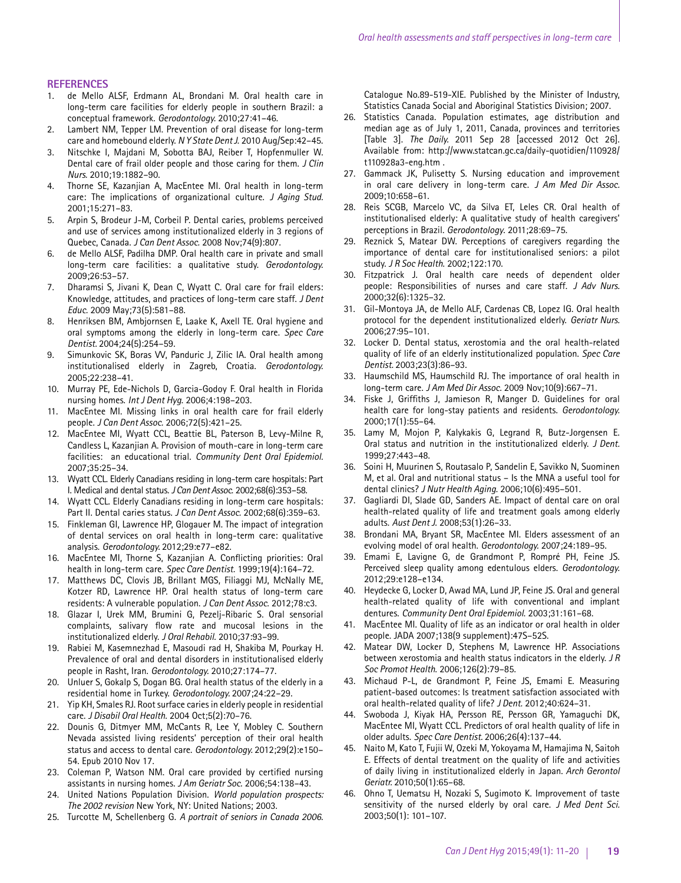#### **REFERENCES**

- 1. de Mello ALSF, Erdmann AL, Brondani M. Oral health care in long-term care facilities for elderly people in southern Brazil: a conceptual framework. *Gerodontology.* 2010;27:41–46.
- 2. Lambert NM, Tepper LM. Prevention of oral disease for long-term care and homebound elderly. *N Y State Dent J*. 2010 Aug/Sep:42–45.
- 3. Nitschke I, Majdani M, Sobotta BAJ, Reiber T, Hopfenmuller W. Dental care of frail older people and those caring for them. *J Clin Nurs.* 2010;19:1882–90.
- 4. Thorne SE, Kazanjian A, MacEntee MI. Oral health in long-term care: The implications of organizational culture. *J Aging Stud.* 2001;15:271–83.
- 5. Arpin S, Brodeur J-M, Corbeil P. Dental caries, problems perceived and use of services among institutionalized elderly in 3 regions of Quebec, Canada. *J Can Dent Assoc.* 2008 Nov;74(9):807.
- 6. de Mello ALSF, Padilha DMP. Oral health care in private and small long-term care facilities: a qualitative study. *Gerodontology.*  2009;26:53–57.
- 7. Dharamsi S, Jivani K, Dean C, Wyatt C. Oral care for frail elders: Knowledge, attitudes, and practices of long-term care staff. *J Dent Educ.* 2009 May;73(5):581–88.
- 8. Henriksen BM, Ambjornsen E, Laake K, Axell TE. Oral hygiene and oral symptoms among the elderly in long-term care. *Spec Care Dentist.* 2004;24(5):254–59.
- 9. Simunkovic SK, Boras VV, Panduric J, Zilic IA. Oral health among institutionalised elderly in Zagreb, Croatia. *Gerodontology.* 2005;22:238–41.
- 10. Murray PE, Ede-Nichols D, Garcia-Godoy F. Oral health in Florida nursing homes. *Int J Dent Hyg*. 2006;4:198–203.
- 11. MacEntee MI. Missing links in oral health care for frail elderly people. *J Can Dent Assoc.* 2006;72(5):421–25.
- 12. MacEntee MI, Wyatt CCL, Beattie BL, Paterson B, Levy-Milne R, Candless L, Kazanjian A. Provision of mouth-care in long-term care facilities: an educational trial. *Community Dent Oral Epidemiol.* 2007;35:25–34.
- 13. Wyatt CCL. Elderly Canadians residing in long-term care hospitals: Part I. Medical and dental status. *J Can Dent Assoc*. 2002;68(6):353–58.
- 14. Wyatt CCL. Elderly Canadians residing in long-term care hospitals: Part II. Dental caries status. *J Can Dent Assoc.* 2002;68(6):359–63.
- 15. Finkleman GI, Lawrence HP, Glogauer M. The impact of integration of dental services on oral health in long-term care: qualitative analysis. *Gerodontology.* 2012;29:e77–e82.
- 16. MacEntee MI, Thorne S, Kazanjian A. Conflicting priorities: Oral health in long-term care. *Spec Care Dentist.* 1999;19(4):164–72.
- 17. Matthews DC, Clovis JB, Brillant MGS, Filiaggi MJ, McNally ME, Kotzer RD, Lawrence HP. Oral health status of long-term care residents: A vulnerable population. *J Can Dent Assoc.* 2012;78:c3.
- 18. Glazar I, Urek MM, Brumini G, Pezelj-Ribaric S. Oral sensorial complaints, salivary flow rate and mucosal lesions in the institutionalized elderly. *J Oral Rehabil.* 2010;37:93–99.
- 19. Rabiei M, Kasemnezhad E, Masoudi rad H, Shakiba M, Pourkay H. Prevalence of oral and dental disorders in institutionalised elderly people in Rasht, Iran. *Gerodontology.* 2010;27:174–77.
- 20. Unluer S, Gokalp S, Dogan BG. Oral health status of the elderly in a residential home in Turkey. *Gerodontology.* 2007;24:22–29.
- 21. Yip KH, Smales RJ. Root surface caries in elderly people in residential care. *J Disabil Oral Health.* 2004 Oct;5(2):70–76.
- 22. Dounis G, Ditmyer MM, McCants R, Lee Y, Mobley C. Southern Nevada assisted living residents' perception of their oral health status and access to dental care. *Gerodontology.* 2012;29(2):e150– 54. Epub 2010 Nov 17.
- 23. Coleman P, Watson NM. Oral care provided by certified nursing assistants in nursing homes. *J Am Geriatr Soc.* 2006;54:138–43.
- 24. United Nations Population Division. *World population prospects: The 2002 revision* New York, NY: United Nations; 2003.
- 25. Turcotte M, Schellenberg G. *A portrait of seniors in Canada 2006.*

Catalogue No.89-519-XIE. Published by the Minister of Industry, Statistics Canada Social and Aboriginal Statistics Division; 2007.

- 26. Statistics Canada. Population estimates, age distribution and median age as of July 1, 2011, Canada, provinces and territories [Table 3]. *The Daily.* 2011 Sep 28 [accessed 2012 Oct 26]. Available from: http://www.statcan.gc.ca/daily-quotidien/110928/ t110928a3-eng.htm .
- 27. Gammack JK, Pulisetty S. Nursing education and improvement in oral care delivery in long-term care. *J Am Med Dir Assoc.* 2009;10:658–61.
- 28. Reis SCGB, Marcelo VC, da Silva ET, Leles CR. Oral health of institutionalised elderly: A qualitative study of health caregivers' perceptions in Brazil. *Gerodontology*. 2011;28:69–75.
- 29. Reznick S, Matear DW. Perceptions of caregivers regarding the importance of dental care for institutionalised seniors: a pilot study. *J R Soc Health*. 2002;122:170.
- 30. Fitzpatrick J. Oral health care needs of dependent older people: Responsibilities of nurses and care staff. *J Adv Nurs.*  2000;32(6):1325–32.
- 31. Gil-Montoya JA, de Mello ALF, Cardenas CB, Lopez IG. Oral health protocol for the dependent institutionalized elderly. *Geriatr Nurs.*  2006;27:95–101.
- 32. Locker D. Dental status, xerostomia and the oral health-related quality of life of an elderly institutionalized population. *Spec Care Dentist.* 2003;23(3):86–93.
- 33. Haumschild MS, Haumschild RJ. The importance of oral health in long-term care. *J Am Med Dir Assoc.* 2009 Nov;10(9):667–71.
- 34. Fiske J, Griffiths J, Jamieson R, Manger D. Guidelines for oral health care for long-stay patients and residents. *Gerodontology.*  2000;17(1):55–64.
- 35. Lamy M, Mojon P, Kalykakis G, Legrand R, Butz-Jorgensen E. Oral status and nutrition in the institutionalized elderly. *J Dent.*  1999;27:443–48.
- 36. Soini H, Muurinen S, Routasalo P, Sandelin E, Savikko N, Suominen M, et al. Oral and nutritional status – Is the MNA a useful tool for dental clinics? *J Nutr Health Aging*. 2006;10(6):495–501.
- 37. Gagliardi DI, Slade GD, Sanders AE. Impact of dental care on oral health-related quality of life and treatment goals among elderly adults. *Aust Dent J.* 2008;53(1):26–33.
- 38. Brondani MA, Bryant SR, MacEntee MI. Elders assessment of an evolving model of oral health. *Gerodontology.* 2007;24:189–95.
- 39. Emami E, Lavigne G, de Grandmont P, Rompré PH, Feine JS. Perceived sleep quality among edentulous elders. *Gerodontology.*  2012;29:e128–e134.
- 40. Heydecke G, Locker D, Awad MA, Lund JP, Feine JS. Oral and general health-related quality of life with conventional and implant dentures. *Community Dent Oral Epidemiol*. 2003;31:161–68.
- 41. MacEntee MI. Quality of life as an indicator or oral health in older people. JADA 2007;138(9 supplement):47S–52S.
- 42. Matear DW, Locker D, Stephens M, Lawrence HP. Associations between xerostomia and health status indicators in the elderly. *J R Soc Promot Health*. 2006;126(2):79–85.
- 43. Michaud P-L, de Grandmont P, Feine JS, Emami E. Measuring patient-based outcomes: Is treatment satisfaction associated with oral health-related quality of life? *J Dent.* 2012;40:624–31.
- 44. Swoboda J, Kiyak HA, Persson RE, Persson GR, Yamaguchi DK, MacEntee MI, Wyatt CCL. Predictors of oral health quality of life in older adults. *Spec Care Dentist.* 2006;26(4):137–44.
- 45. Naito M, Kato T, Fujii W, Ozeki M, Yokoyama M, Hamajima N, Saitoh E. Effects of dental treatment on the quality of life and activities of daily living in institutionalized elderly in Japan. *Arch Gerontol Geriatr.* 2010;50(1):65–68.
- 46. Ohno T, Uematsu H, Nozaki S, Sugimoto K. Improvement of taste sensitivity of the nursed elderly by oral care. *J Med Dent Sci.* 2003;50(1): 101–107.